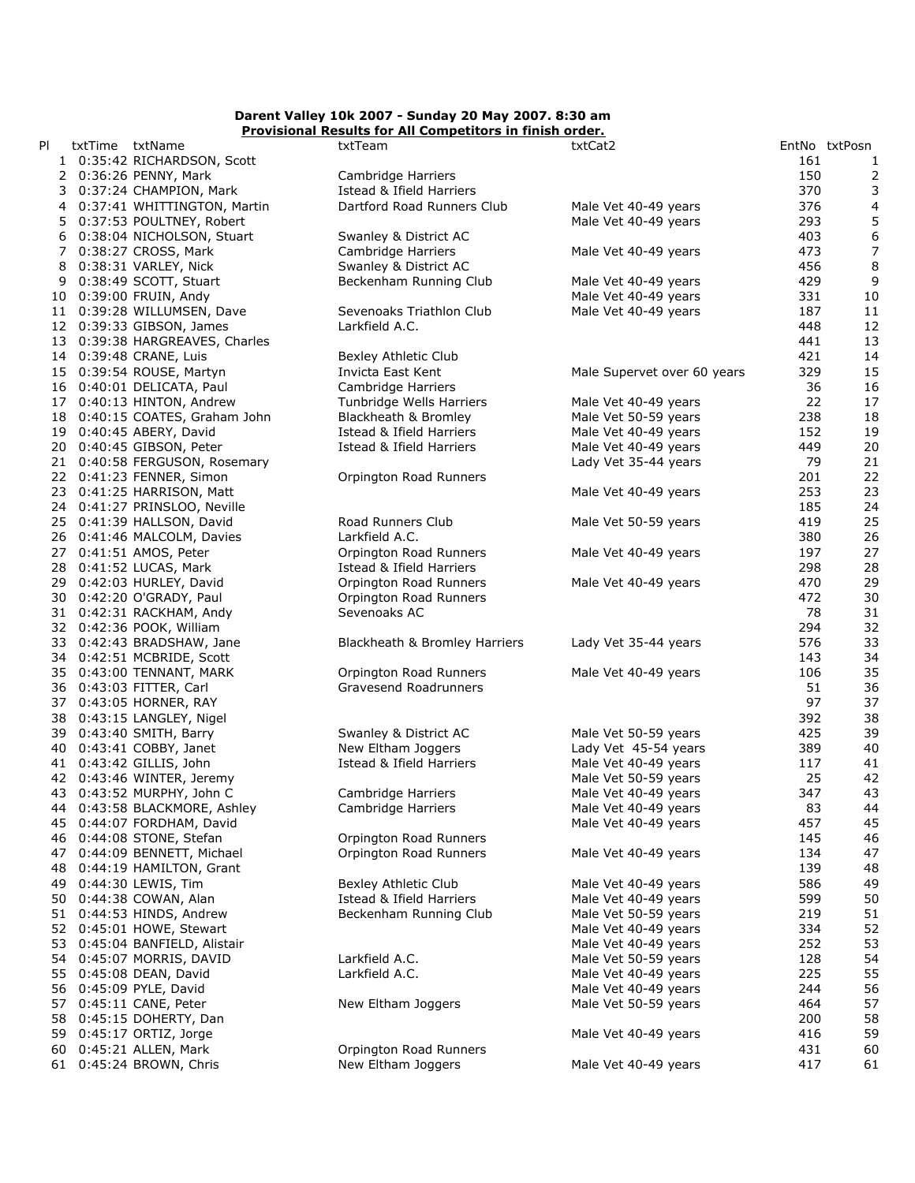## Provisional Results for All Competitors in finish order. Darent Valley 10k 2007 - Sunday 20 May 2007. 8:30 am

| PI | txtTime txtName                | txtTeam                                        | txtCat2                     |           | EntNo txtPosn           |
|----|--------------------------------|------------------------------------------------|-----------------------------|-----------|-------------------------|
|    | 1 0:35:42 RICHARDSON, Scott    |                                                |                             | 161       | 1                       |
|    | 2 0:36:26 PENNY, Mark          | Cambridge Harriers                             |                             | 150       | $\overline{\mathbf{c}}$ |
|    | 3 0:37:24 CHAMPION, Mark       | Istead & Ifield Harriers                       |                             | 370       | 3                       |
|    | 4 0:37:41 WHITTINGTON, Martin  | Dartford Road Runners Club                     | Male Vet 40-49 years        | 376       | 4                       |
|    | 5 0:37:53 POULTNEY, Robert     |                                                | Male Vet 40-49 years        | 293       | 5                       |
|    | 6 0:38:04 NICHOLSON, Stuart    | Swanley & District AC                          |                             | 403       | 6                       |
|    | 7 0:38:27 CROSS, Mark          | Cambridge Harriers                             | Male Vet 40-49 years        | 473       | 7                       |
|    | 8 0:38:31 VARLEY, Nick         | Swanley & District AC                          |                             | 456       | 8                       |
|    | 9 0:38:49 SCOTT, Stuart        | Beckenham Running Club                         | Male Vet 40-49 years        | 429       | 9                       |
|    | 10 0:39:00 FRUIN, Andy         |                                                | Male Vet 40-49 years        | 331       | 10                      |
|    | 11 0:39:28 WILLUMSEN, Dave     | Sevenoaks Triathlon Club                       | Male Vet 40-49 years        | 187       | 11                      |
|    | 12 0:39:33 GIBSON, James       | Larkfield A.C.                                 |                             | 448       | 12                      |
|    | 13 0:39:38 HARGREAVES, Charles |                                                |                             | 441       | 13                      |
|    | 14 0:39:48 CRANE, Luis         | Bexley Athletic Club                           |                             | 421       | 14                      |
|    | 15 0:39:54 ROUSE, Martyn       | Invicta East Kent                              | Male Supervet over 60 years | 329       | 15                      |
|    | 16 0:40:01 DELICATA, Paul      | Cambridge Harriers                             |                             | 36        | 16                      |
|    | 17 0:40:13 HINTON, Andrew      | Tunbridge Wells Harriers                       | Male Vet 40-49 years        | 22        | 17                      |
|    | 18 0:40:15 COATES, Graham John | Blackheath & Bromley                           | Male Vet 50-59 years        | 238       | 18                      |
|    | 19 0:40:45 ABERY, David        | Istead & Ifield Harriers                       | Male Vet 40-49 years        | 152       | 19                      |
|    | 20 0:40:45 GIBSON, Peter       | Istead & Ifield Harriers                       | Male Vet 40-49 years        | 449       | 20                      |
|    | 21 0:40:58 FERGUSON, Rosemary  |                                                | Lady Vet 35-44 years        | 79        | 21                      |
|    | 22 0:41:23 FENNER, Simon       | Orpington Road Runners                         |                             | 201       | 22                      |
|    | 23 0:41:25 HARRISON, Matt      |                                                | Male Vet 40-49 years        | 253       | 23                      |
|    | 24 0:41:27 PRINSLOO, Neville   |                                                |                             | 185       | 24                      |
|    | 25 0:41:39 HALLSON, David      | Road Runners Club                              | Male Vet 50-59 years        | 419       | 25                      |
|    | 26 0:41:46 MALCOLM, Davies     | Larkfield A.C.                                 |                             | 380       | 26                      |
|    | 27 0:41:51 AMOS, Peter         | Orpington Road Runners                         | Male Vet 40-49 years        | 197       | 27                      |
|    | 28 0:41:52 LUCAS, Mark         | Istead & Ifield Harriers                       |                             | 298       | 28                      |
|    | 29 0:42:03 HURLEY, David       | Orpington Road Runners                         | Male Vet 40-49 years        | 470       | 29                      |
|    | 30 0:42:20 O'GRADY, Paul       | Orpington Road Runners                         |                             | 472       | 30                      |
|    | 31 0:42:31 RACKHAM, Andy       | Sevenoaks AC                                   |                             | 78        | 31                      |
|    | 32 0:42:36 POOK, William       |                                                |                             | 294       | 32                      |
|    | 33 0:42:43 BRADSHAW, Jane      | Blackheath & Bromley Harriers                  | Lady Vet 35-44 years        | 576       | 33                      |
|    | 34 0:42:51 MCBRIDE, Scott      |                                                |                             | 143       | 34                      |
|    | 35 0:43:00 TENNANT, MARK       | Orpington Road Runners                         | Male Vet 40-49 years        | 106       | 35                      |
|    | 36 0:43:03 FITTER, Carl        | Gravesend Roadrunners                          |                             | 51        | 36                      |
|    | 37 0:43:05 HORNER, RAY         |                                                |                             | 97        | 37                      |
|    | 38 0:43:15 LANGLEY, Nigel      |                                                |                             | 392       | 38                      |
|    |                                |                                                | Male Vet 50-59 years        | 425       | 39                      |
|    | 39 0:43:40 SMITH, Barry        | Swanley & District AC                          |                             |           | 40                      |
|    | 40 0:43:41 COBBY, Janet        | New Eltham Joggers<br>Istead & Ifield Harriers | Lady Vet 45-54 years        | 389       |                         |
|    | 41 0:43:42 GILLIS, John        |                                                | Male Vet 40-49 years        | 117<br>25 | 41                      |
|    | 42 0:43:46 WINTER, Jeremy      |                                                | Male Vet 50-59 years        |           | 42                      |
|    | 43 0:43:52 MURPHY, John C      | Cambridge Harriers                             | Male Vet 40-49 years        | 347       | 43                      |
|    | 44 0:43:58 BLACKMORE, Ashley   | Cambridge Harriers                             | Male Vet 40-49 years        | 83        | 44                      |
|    | 45 0:44:07 FORDHAM, David      |                                                | Male Vet 40-49 years        | 457       | 45                      |
|    | 46 0:44:08 STONE, Stefan       | Orpington Road Runners                         |                             | 145       | 46                      |
|    | 47 0:44:09 BENNETT, Michael    | Orpington Road Runners                         | Male Vet 40-49 years        | 134       | 47                      |
|    | 48 0:44:19 HAMILTON, Grant     |                                                |                             | 139       | 48                      |
|    | 49 0:44:30 LEWIS, Tim          | Bexley Athletic Club                           | Male Vet 40-49 years        | 586       | 49                      |
|    | 50 0:44:38 COWAN, Alan         | Istead & Ifield Harriers                       | Male Vet 40-49 years        | 599       | 50                      |
|    | 51 0:44:53 HINDS, Andrew       | Beckenham Running Club                         | Male Vet 50-59 years        | 219       | 51                      |
|    | 52 0:45:01 HOWE, Stewart       |                                                | Male Vet 40-49 years        | 334       | 52                      |
|    | 53 0:45:04 BANFIELD, Alistair  |                                                | Male Vet 40-49 years        | 252       | 53                      |
|    | 54 0:45:07 MORRIS, DAVID       | Larkfield A.C.                                 | Male Vet 50-59 years        | 128       | 54                      |
|    | 55 0:45:08 DEAN, David         | Larkfield A.C.                                 | Male Vet 40-49 years        | 225       | 55                      |
|    | 56 0:45:09 PYLE, David         |                                                | Male Vet 40-49 years        | 244       | 56                      |
|    | 57 0:45:11 CANE, Peter         | New Eltham Joggers                             | Male Vet 50-59 years        | 464       | 57                      |
| 58 | 0:45:15 DOHERTY, Dan           |                                                |                             | 200       | 58                      |
|    | 59 0:45:17 ORTIZ, Jorge        |                                                | Male Vet 40-49 years        | 416       | 59                      |
|    | 60 0:45:21 ALLEN, Mark         | Orpington Road Runners                         |                             | 431       | 60                      |
|    | 61 0:45:24 BROWN, Chris        | New Eltham Joggers                             | Male Vet 40-49 years        | 417       | 61                      |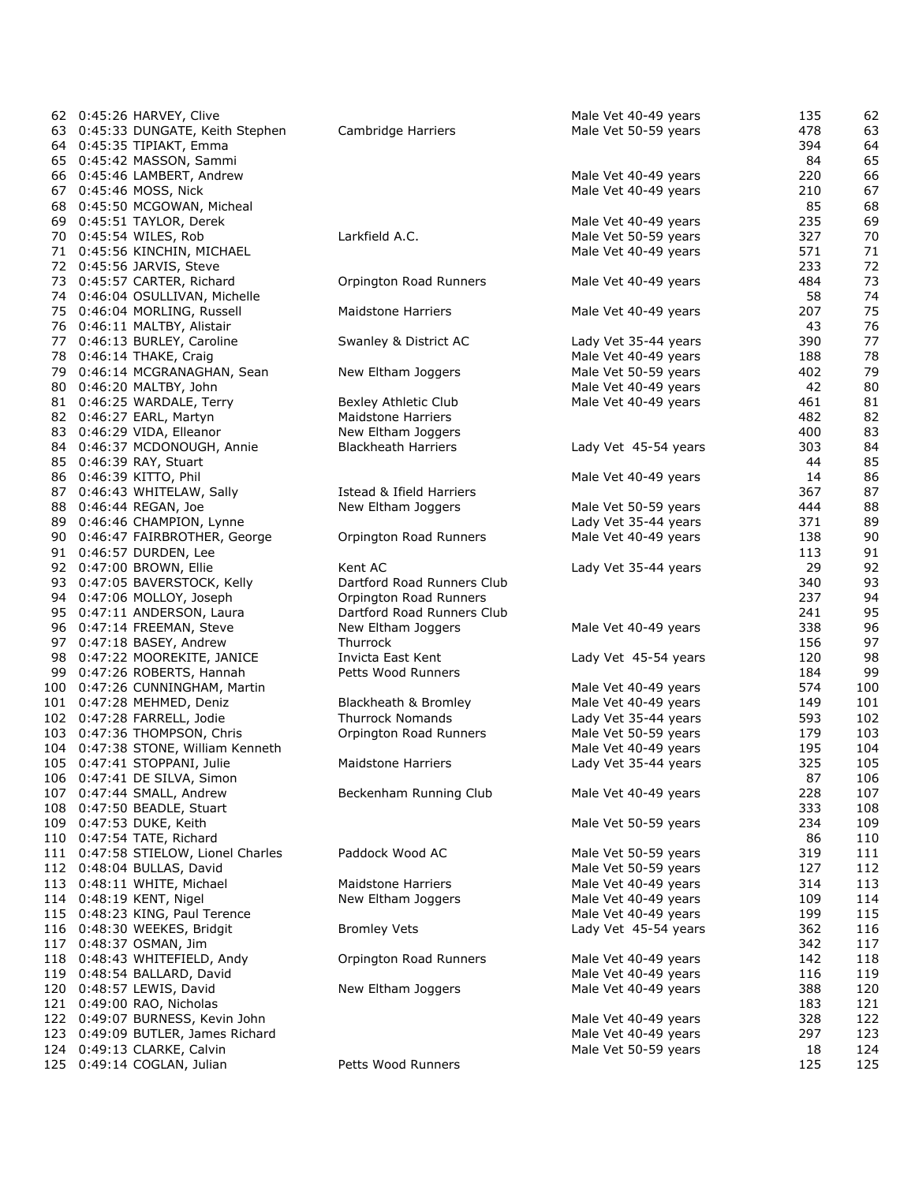| 62 0:45:26 HARVEY, Clive            |                            | Male Vet 40-49 years | 135 | 62  |
|-------------------------------------|----------------------------|----------------------|-----|-----|
| 63 0:45:33 DUNGATE, Keith Stephen   | Cambridge Harriers         | Male Vet 50-59 years | 478 | 63  |
| 64 0:45:35 TIPIAKT, Emma            |                            |                      | 394 | 64  |
| 65 0:45:42 MASSON, Sammi            |                            |                      | 84  | 65  |
| 66 0:45:46 LAMBERT, Andrew          |                            | Male Vet 40-49 years | 220 | 66  |
| 67 0:45:46 MOSS, Nick               |                            | Male Vet 40-49 years | 210 | 67  |
| 68 0:45:50 MCGOWAN, Micheal         |                            |                      | 85  | 68  |
| 69 0:45:51 TAYLOR, Derek            |                            | Male Vet 40-49 years | 235 | 69  |
| 70 0:45:54 WILES, Rob               | Larkfield A.C.             | Male Vet 50-59 years | 327 | 70  |
| 71 0:45:56 KINCHIN, MICHAEL         |                            | Male Vet 40-49 years | 571 | 71  |
| 72 0:45:56 JARVIS, Steve            |                            |                      | 233 | 72  |
| 73 0:45:57 CARTER, Richard          | Orpington Road Runners     | Male Vet 40-49 years | 484 | 73  |
| 74 0:46:04 OSULLIVAN, Michelle      |                            |                      | 58  | 74  |
| 75 0:46:04 MORLING, Russell         | <b>Maidstone Harriers</b>  | Male Vet 40-49 years | 207 | 75  |
| 76 0:46:11 MALTBY, Alistair         |                            |                      | 43  | 76  |
| 77 0:46:13 BURLEY, Caroline         | Swanley & District AC      | Lady Vet 35-44 years | 390 | 77  |
| 78 0:46:14 THAKE, Craig             |                            | Male Vet 40-49 years | 188 | 78  |
| 79 0:46:14 MCGRANAGHAN, Sean        | New Eltham Joggers         | Male Vet 50-59 years | 402 | 79  |
| 80 0:46:20 MALTBY, John             |                            | Male Vet 40-49 years | 42  | 80  |
| 81 0:46:25 WARDALE, Terry           | Bexley Athletic Club       | Male Vet 40-49 years | 461 | 81  |
| 82 0:46:27 EARL, Martyn             | <b>Maidstone Harriers</b>  |                      | 482 | 82  |
| 83 0:46:29 VIDA, Elleanor           | New Eltham Joggers         |                      | 400 | 83  |
| 84 0:46:37 MCDONOUGH, Annie         | <b>Blackheath Harriers</b> | Lady Vet 45-54 years | 303 | 84  |
|                                     |                            |                      | 44  | 85  |
| 85 0:46:39 RAY, Stuart              |                            |                      |     | 86  |
| 86 0:46:39 KITTO, Phil              |                            | Male Vet 40-49 years | 14  |     |
| 87 0:46:43 WHITELAW, Sally          | Istead & Ifield Harriers   |                      | 367 | 87  |
| 88 0:46:44 REGAN, Joe               | New Eltham Joggers         | Male Vet 50-59 years | 444 | 88  |
| 89 0:46:46 CHAMPION, Lynne          |                            | Lady Vet 35-44 years | 371 | 89  |
| 90 0:46:47 FAIRBROTHER, George      | Orpington Road Runners     | Male Vet 40-49 years | 138 | 90  |
| 91 0:46:57 DURDEN, Lee              |                            |                      | 113 | 91  |
| 92 0:47:00 BROWN, Ellie             | Kent AC                    | Lady Vet 35-44 years | 29  | 92  |
| 93 0:47:05 BAVERSTOCK, Kelly        | Dartford Road Runners Club |                      | 340 | 93  |
| 94 0:47:06 MOLLOY, Joseph           | Orpington Road Runners     |                      | 237 | 94  |
| 95 0:47:11 ANDERSON, Laura          | Dartford Road Runners Club |                      | 241 | 95  |
| 96 0:47:14 FREEMAN, Steve           | New Eltham Joggers         | Male Vet 40-49 years | 338 | 96  |
| 97 0:47:18 BASEY, Andrew            | Thurrock                   |                      | 156 | 97  |
| 98 0:47:22 MOOREKITE, JANICE        | Invicta East Kent          | Lady Vet 45-54 years | 120 | 98  |
| 99 0:47:26 ROBERTS, Hannah          | Petts Wood Runners         |                      | 184 | 99  |
| 100 0:47:26 CUNNINGHAM, Martin      |                            | Male Vet 40-49 years | 574 | 100 |
| 101 0:47:28 MEHMED, Deniz           | Blackheath & Bromley       | Male Vet 40-49 years | 149 | 101 |
| 102 0:47:28 FARRELL, Jodie          | <b>Thurrock Nomands</b>    | Lady Vet 35-44 years | 593 | 102 |
| 103 0:47:36 THOMPSON, Chris         | Orpington Road Runners     | Male Vet 50-59 years | 179 | 103 |
| 104 0:47:38 STONE, William Kenneth  |                            | Male Vet 40-49 years | 195 | 104 |
| 105 0:47:41 STOPPANI, Julie         | Maidstone Harriers         | Lady Vet 35-44 years | 325 | 105 |
| 106 0:47:41 DE SILVA, Simon         |                            |                      | 87  | 106 |
| 107 0:47:44 SMALL, Andrew           | Beckenham Running Club     | Male Vet 40-49 years | 228 | 107 |
| 108 0:47:50 BEADLE, Stuart          |                            |                      | 333 | 108 |
| 109 0:47:53 DUKE, Keith             |                            | Male Vet 50-59 years | 234 | 109 |
| 110 0:47:54 TATE, Richard           |                            |                      | 86  | 110 |
| 111 0:47:58 STIELOW, Lionel Charles | Paddock Wood AC            | Male Vet 50-59 years | 319 | 111 |
| 112 0:48:04 BULLAS, David           |                            | Male Vet 50-59 years | 127 | 112 |
| 113 0:48:11 WHITE, Michael          | <b>Maidstone Harriers</b>  | Male Vet 40-49 years | 314 | 113 |
| 114 0:48:19 KENT, Nigel             | New Eltham Joggers         | Male Vet 40-49 years | 109 | 114 |
| 115 0:48:23 KING, Paul Terence      |                            | Male Vet 40-49 years | 199 | 115 |
| 116 0:48:30 WEEKES, Bridgit         | <b>Bromley Vets</b>        | Lady Vet 45-54 years | 362 | 116 |
| 117 0:48:37 OSMAN, Jim              |                            |                      | 342 | 117 |
| 118 0:48:43 WHITEFIELD, Andy        | Orpington Road Runners     | Male Vet 40-49 years | 142 | 118 |
| 119 0:48:54 BALLARD, David          |                            | Male Vet 40-49 years | 116 | 119 |
| 120 0:48:57 LEWIS, David            | New Eltham Joggers         | Male Vet 40-49 years | 388 | 120 |
| 121 0:49:00 RAO, Nicholas           |                            |                      | 183 | 121 |
| 122 0:49:07 BURNESS, Kevin John     |                            | Male Vet 40-49 years | 328 | 122 |
| 123 0:49:09 BUTLER, James Richard   |                            | Male Vet 40-49 years | 297 | 123 |
| 124 0:49:13 CLARKE, Calvin          |                            | Male Vet 50-59 years | 18  | 124 |
| 125 0:49:14 COGLAN, Julian          | Petts Wood Runners         |                      | 125 | 125 |
|                                     |                            |                      |     |     |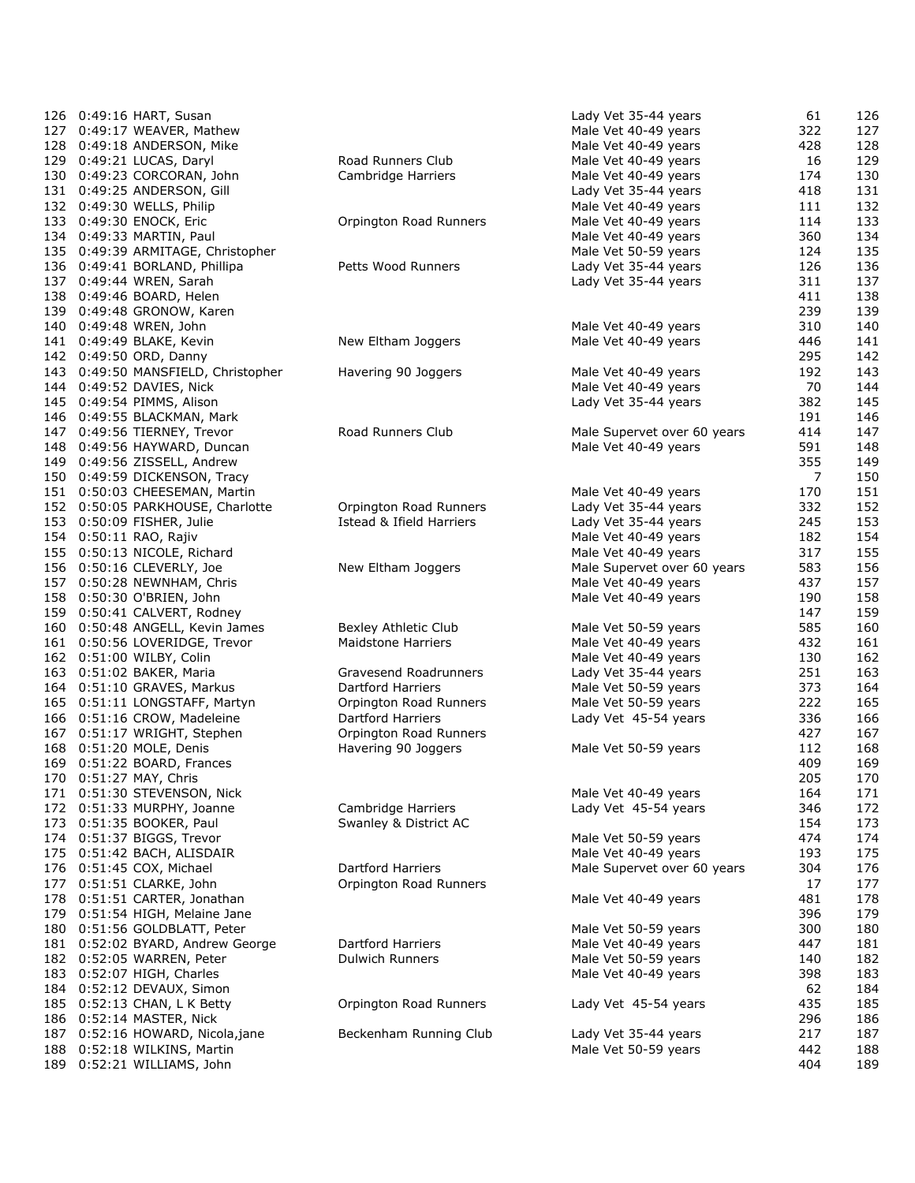| 126 0:49:16 HART, Susan                              |                          | Lady Vet 35-44 years                         | 61         | 126        |
|------------------------------------------------------|--------------------------|----------------------------------------------|------------|------------|
| 127 0:49:17 WEAVER, Mathew                           |                          | Male Vet 40-49 years                         | 322        | 127        |
| 128 0:49:18 ANDERSON, Mike                           |                          | Male Vet 40-49 years                         | 428        | 128        |
| 129 0:49:21 LUCAS, Daryl                             | Road Runners Club        | Male Vet 40-49 years                         | 16         | 129        |
| 130 0:49:23 CORCORAN, John                           | Cambridge Harriers       | Male Vet 40-49 years                         | 174        | 130        |
| 131 0:49:25 ANDERSON, Gill                           |                          | Lady Vet 35-44 years                         | 418        | 131        |
| 132 0:49:30 WELLS, Philip                            |                          | Male Vet 40-49 years                         | 111        | 132        |
| 133 0:49:30 ENOCK, Eric                              | Orpington Road Runners   | Male Vet 40-49 years                         | 114        | 133        |
| 134 0:49:33 MARTIN, Paul                             |                          | Male Vet 40-49 years                         | 360        | 134        |
| 135 0:49:39 ARMITAGE, Christopher                    |                          | Male Vet 50-59 years                         | 124        | 135        |
| 136 0:49:41 BORLAND, Phillipa                        | Petts Wood Runners       | Lady Vet 35-44 years                         | 126        | 136        |
| 137 0:49:44 WREN, Sarah                              |                          | Lady Vet 35-44 years                         | 311        | 137        |
| 138 0:49:46 BOARD, Helen                             |                          |                                              | 411        | 138        |
| 139 0:49:48 GRONOW, Karen                            |                          |                                              | 239        | 139        |
| 140 0:49:48 WREN, John                               |                          | Male Vet 40-49 years                         | 310        | 140        |
| 141 0:49:49 BLAKE, Kevin                             | New Eltham Joggers       | Male Vet 40-49 years                         | 446        | 141        |
| 142 0:49:50 ORD, Danny                               |                          |                                              | 295        | 142        |
| 143 0:49:50 MANSFIELD, Christopher                   | Havering 90 Joggers      | Male Vet 40-49 years                         | 192        | 143        |
| 144 0:49:52 DAVIES, Nick                             |                          | Male Vet 40-49 years                         | 70         | 144        |
| 145 0:49:54 PIMMS, Alison                            |                          | Lady Vet 35-44 years                         | 382        | 145        |
| 146 0:49:55 BLACKMAN, Mark                           |                          |                                              | 191        | 146        |
| 147 0:49:56 TIERNEY, Trevor                          | Road Runners Club        | Male Supervet over 60 years                  | 414        | 147        |
| 148 0:49:56 HAYWARD, Duncan                          |                          | Male Vet 40-49 years                         | 591        | 148        |
| 149 0:49:56 ZISSELL, Andrew                          |                          |                                              | 355        | 149        |
| 150 0:49:59 DICKENSON, Tracy                         |                          |                                              | 7          | 150        |
| 151 0:50:03 CHEESEMAN, Martin                        |                          | Male Vet 40-49 years                         | 170        | 151        |
| 152 0:50:05 PARKHOUSE, Charlotte                     | Orpington Road Runners   | Lady Vet 35-44 years                         | 332        | 152        |
| 153 0:50:09 FISHER, Julie                            | Istead & Ifield Harriers | Lady Vet 35-44 years                         | 245        | 153        |
| 154 0:50:11 RAO, Rajiv                               |                          | Male Vet 40-49 years                         | 182        | 154        |
| 155 0:50:13 NICOLE, Richard                          |                          | Male Vet 40-49 years                         | 317        | 155        |
| 156 0:50:16 CLEVERLY, Joe                            | New Eltham Joggers       | Male Supervet over 60 years                  | 583        | 156        |
| 157 0:50:28 NEWNHAM, Chris                           |                          | Male Vet 40-49 years                         | 437        | 157        |
| 158 0:50:30 O'BRIEN, John                            |                          | Male Vet 40-49 years                         | 190        | 158        |
| 159 0:50:41 CALVERT, Rodney                          |                          |                                              | 147        | 159        |
| 160 0:50:48 ANGELL, Kevin James                      | Bexley Athletic Club     | Male Vet 50-59 years                         | 585        | 160        |
| 161 0:50:56 LOVERIDGE, Trevor                        | Maidstone Harriers       | Male Vet 40-49 years                         | 432        | 161        |
| 162 0:51:00 WILBY, Colin                             |                          | Male Vet 40-49 years                         | 130        | 162        |
| 163 0:51:02 BAKER, Maria                             | Gravesend Roadrunners    | Lady Vet 35-44 years                         | 251        | 163        |
| 164 0:51:10 GRAVES, Markus                           | Dartford Harriers        | Male Vet 50-59 years                         | 373        | 164        |
| 165 0:51:11 LONGSTAFF, Martyn                        | Orpington Road Runners   | Male Vet 50-59 years                         | 222        | 165        |
| 166 0:51:16 CROW, Madeleine                          | <b>Dartford Harriers</b> | Lady Vet 45-54 years                         | 336        | 166        |
| 167 0:51:17 WRIGHT, Stephen                          | Orpington Road Runners   |                                              | 427        | 167        |
| 168 0:51:20 MOLE, Denis                              | Havering 90 Joggers      | Male Vet 50-59 years                         | 112        | 168        |
| 169 0:51:22 BOARD, Frances                           |                          |                                              | 409        | 169        |
| 170 0:51:27 MAY, Chris                               |                          |                                              | 205        | 170        |
| 171 0:51:30 STEVENSON, Nick                          |                          | Male Vet 40-49 years                         | 164        | 171        |
| 172 0:51:33 MURPHY, Joanne                           | Cambridge Harriers       | Lady Vet 45-54 years                         | 346        | 172        |
| 173 0:51:35 BOOKER, Paul                             | Swanley & District AC    |                                              | 154        | 173        |
|                                                      |                          |                                              | 474        | 174        |
| 174 0:51:37 BIGGS, Trevor                            |                          | Male Vet 50-59 years<br>Male Vet 40-49 years | 193        | 175        |
| 175 0:51:42 BACH, ALISDAIR                           | Dartford Harriers        | Male Supervet over 60 years                  | 304        | 176        |
| 176 0:51:45 COX, Michael<br>177 0:51:51 CLARKE, John | Orpington Road Runners   |                                              | 17         | 177        |
| 178 0:51:51 CARTER, Jonathan                         |                          | Male Vet 40-49 years                         | 481        | 178        |
| 179 0:51:54 HIGH, Melaine Jane                       |                          |                                              | 396        | 179        |
|                                                      |                          |                                              |            |            |
| 180 0:51:56 GOLDBLATT, Peter                         | <b>Dartford Harriers</b> | Male Vet 50-59 years                         | 300<br>447 | 180<br>181 |
| 181 0:52:02 BYARD, Andrew George                     |                          | Male Vet 40-49 years                         |            |            |
| 182 0:52:05 WARREN, Peter                            | Dulwich Runners          | Male Vet 50-59 years                         | 140        | 182        |
| 183 0:52:07 HIGH, Charles                            |                          | Male Vet 40-49 years                         | 398        | 183        |
| 184 0:52:12 DEVAUX, Simon                            |                          |                                              | 62         | 184        |
| 185 0:52:13 CHAN, L K Betty                          | Orpington Road Runners   | Lady Vet 45-54 years                         | 435        | 185        |
| 186 0:52:14 MASTER, Nick                             |                          |                                              | 296        | 186        |
| 187 0:52:16 HOWARD, Nicola, jane                     | Beckenham Running Club   | Lady Vet 35-44 years                         | 217        | 187        |
| 188 0:52:18 WILKINS, Martin                          |                          | Male Vet 50-59 years                         | 442        | 188        |
| 189 0:52:21 WILLIAMS, John                           |                          |                                              | 404        | 189        |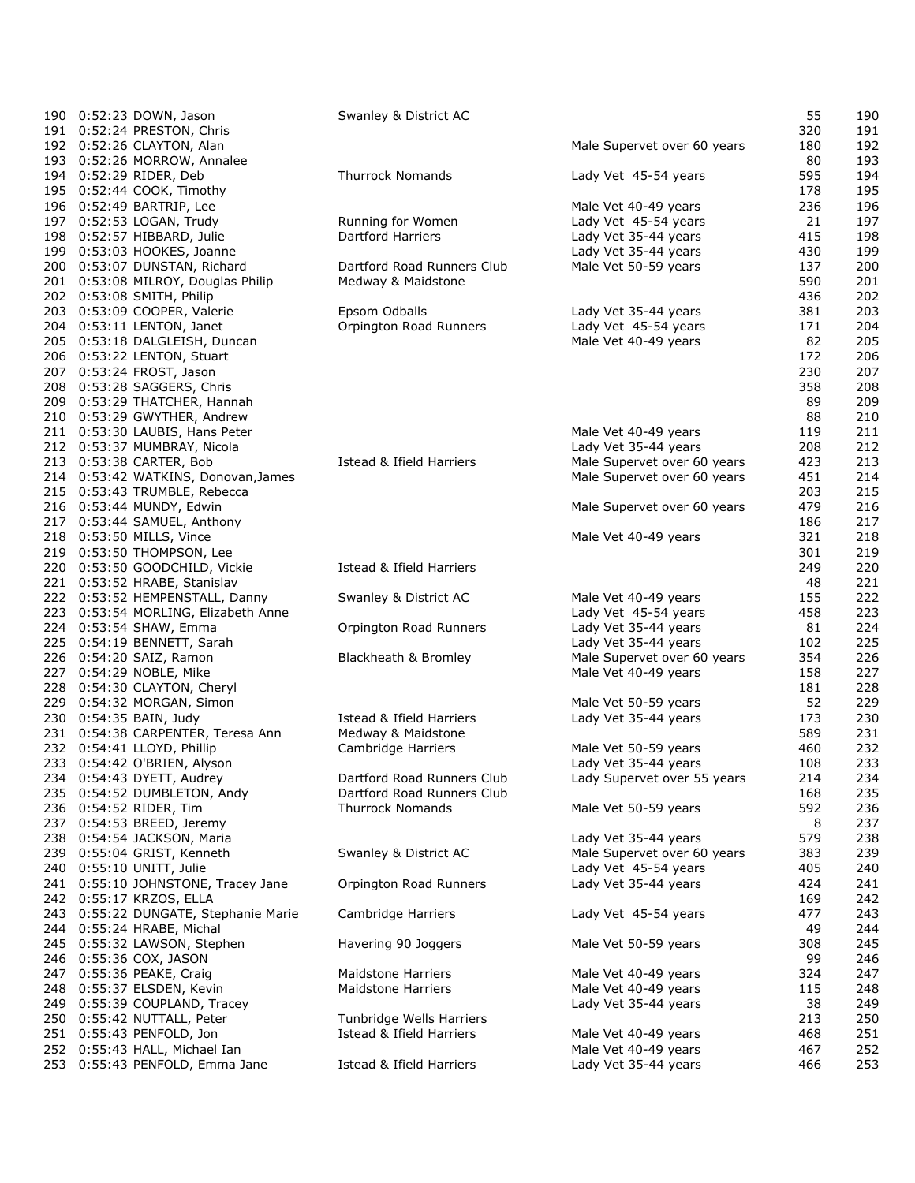| 190 0:52:23 DOWN, Jason                                       | Swanley & District AC      |                             | 55         | 190        |
|---------------------------------------------------------------|----------------------------|-----------------------------|------------|------------|
| 191 0:52:24 PRESTON, Chris                                    |                            |                             | 320        | 191        |
| 192 0:52:26 CLAYTON, Alan                                     |                            | Male Supervet over 60 years | 180        | 192        |
| 193 0:52:26 MORROW, Annalee                                   |                            |                             | 80         | 193        |
| 194 0:52:29 RIDER, Deb                                        | <b>Thurrock Nomands</b>    | Lady Vet 45-54 years        | 595        | 194        |
| 195 0:52:44 COOK, Timothy                                     |                            |                             | 178        | 195        |
| 196 0:52:49 BARTRIP, Lee                                      |                            | Male Vet 40-49 years        | 236        | 196        |
| 197 0:52:53 LOGAN, Trudy                                      | Running for Women          | Lady Vet 45-54 years        | 21         | 197        |
| 198 0:52:57 HIBBARD, Julie                                    | Dartford Harriers          | Lady Vet 35-44 years        | 415        | 198        |
| 199 0:53:03 HOOKES, Joanne                                    |                            | Lady Vet 35-44 years        | 430        | 199        |
| 200 0:53:07 DUNSTAN, Richard                                  | Dartford Road Runners Club | Male Vet 50-59 years        | 137        | 200        |
| 201 0:53:08 MILROY, Douglas Philip                            | Medway & Maidstone         |                             | 590        | 201        |
| 202 0:53:08 SMITH, Philip                                     |                            |                             | 436        | 202        |
| 203 0:53:09 COOPER, Valerie                                   | Epsom Odballs              | Lady Vet 35-44 years        | 381        | 203        |
| 204 0:53:11 LENTON, Janet                                     | Orpington Road Runners     | Lady Vet 45-54 years        | 171        | 204        |
| 205 0:53:18 DALGLEISH, Duncan                                 |                            | Male Vet 40-49 years        | 82         | 205        |
| 206 0:53:22 LENTON, Stuart                                    |                            |                             | 172        | 206        |
| 207 0:53:24 FROST, Jason                                      |                            |                             | 230        | 207        |
| 208 0:53:28 SAGGERS, Chris<br>209 0:53:29 THATCHER, Hannah    |                            |                             | 358<br>89  | 208<br>209 |
| 210 0:53:29 GWYTHER, Andrew                                   |                            |                             | 88         | 210        |
| 211 0:53:30 LAUBIS, Hans Peter                                |                            | Male Vet 40-49 years        | 119        | 211        |
| 212 0:53:37 MUMBRAY, Nicola                                   |                            | Lady Vet 35-44 years        | 208        | 212        |
| 213 0:53:38 CARTER, Bob                                       | Istead & Ifield Harriers   | Male Supervet over 60 years | 423        | 213        |
| 214 0:53:42 WATKINS, Donovan, James                           |                            | Male Supervet over 60 years | 451        | 214        |
| 215 0:53:43 TRUMBLE, Rebecca                                  |                            |                             | 203        | 215        |
| 216 0:53:44 MUNDY, Edwin                                      |                            | Male Supervet over 60 years | 479        | 216        |
| 217 0:53:44 SAMUEL, Anthony                                   |                            |                             | 186        | 217        |
| 218 0:53:50 MILLS, Vince                                      |                            | Male Vet 40-49 years        | 321        | 218        |
| 219 0:53:50 THOMPSON, Lee                                     |                            |                             | 301        | 219        |
| 220 0:53:50 GOODCHILD, Vickie                                 | Istead & Ifield Harriers   |                             | 249        | 220        |
| 221 0:53:52 HRABE, Stanislav                                  |                            |                             | 48         | 221        |
| 222 0:53:52 HEMPENSTALL, Danny                                | Swanley & District AC      | Male Vet 40-49 years        | 155        | 222        |
| 223 0:53:54 MORLING, Elizabeth Anne                           |                            | Lady Vet 45-54 years        | 458        | 223        |
| 224 0:53:54 SHAW, Emma                                        | Orpington Road Runners     | Lady Vet 35-44 years        | 81         | 224        |
| 225 0:54:19 BENNETT, Sarah                                    |                            | Lady Vet 35-44 years        | 102        | 225        |
| 226 0:54:20 SAIZ, Ramon                                       | Blackheath & Bromley       | Male Supervet over 60 years | 354        | 226        |
| 227 0:54:29 NOBLE, Mike                                       |                            | Male Vet 40-49 years        | 158        | 227        |
| 228 0:54:30 CLAYTON, Cheryl                                   |                            |                             | 181        | 228        |
| 229 0:54:32 MORGAN, Simon                                     |                            | Male Vet 50-59 years        | 52         | 229        |
| 230 0:54:35 BAIN, Judy                                        | Istead & Ifield Harriers   | Lady Vet 35-44 years        | 173        | 230        |
| 231 0:54:38 CARPENTER, Teresa Ann                             | Medway & Maidstone         |                             | 589        | 231        |
| 232 0:54:41 LLOYD, Phillip                                    | Cambridge Harriers         | Male Vet 50-59 years        | 460        | 232        |
| 233 0:54:42 O'BRIEN, Alyson                                   |                            | Lady Vet 35-44 years        | 108        | 233        |
| 234 0:54:43 DYETT, Audrey                                     | Dartford Road Runners Club | Lady Supervet over 55 years | 214        | 234        |
| 235 0:54:52 DUMBLETON, Andy                                   | Dartford Road Runners Club |                             | 168        | 235        |
| 236 0:54:52 RIDER, Tim                                        | <b>Thurrock Nomands</b>    | Male Vet 50-59 years        | 592        | 236        |
| 237 0:54:53 BREED, Jeremy                                     |                            |                             | 8          | 237        |
| 238 0:54:54 JACKSON, Maria                                    |                            | Lady Vet 35-44 years        | 579        | 238        |
| 239 0:55:04 GRIST, Kenneth                                    | Swanley & District AC      | Male Supervet over 60 years | 383        | 239        |
| 240 0:55:10 UNITT, Julie                                      | Orpington Road Runners     | Lady Vet 45-54 years        | 405<br>424 | 240        |
| 241 0:55:10 JOHNSTONE, Tracey Jane<br>242 0:55:17 KRZOS, ELLA |                            | Lady Vet 35-44 years        | 169        | 241<br>242 |
| 243 0:55:22 DUNGATE, Stephanie Marie                          | Cambridge Harriers         | Lady Vet 45-54 years        | 477        | 243        |
| 244 0:55:24 HRABE, Michal                                     |                            |                             | 49         | 244        |
| 245 0:55:32 LAWSON, Stephen                                   | Havering 90 Joggers        | Male Vet 50-59 years        | 308        | 245        |
| 246 0:55:36 COX, JASON                                        |                            |                             | 99         | 246        |
| 247 0:55:36 PEAKE, Craig                                      | <b>Maidstone Harriers</b>  | Male Vet 40-49 years        | 324        | 247        |
| 248 0:55:37 ELSDEN, Kevin                                     | <b>Maidstone Harriers</b>  | Male Vet 40-49 years        | 115        | 248        |
| 249 0:55:39 COUPLAND, Tracey                                  |                            | Lady Vet 35-44 years        | 38         | 249        |
| 250 0:55:42 NUTTALL, Peter                                    | Tunbridge Wells Harriers   |                             | 213        | 250        |
| 251 0:55:43 PENFOLD, Jon                                      | Istead & Ifield Harriers   | Male Vet 40-49 years        | 468        | 251        |
| 252 0:55:43 HALL, Michael Ian                                 |                            | Male Vet 40-49 years        | 467        | 252        |
| 253 0:55:43 PENFOLD, Emma Jane                                | Istead & Ifield Harriers   | Lady Vet 35-44 years        | 466        | 253        |
|                                                               |                            |                             |            |            |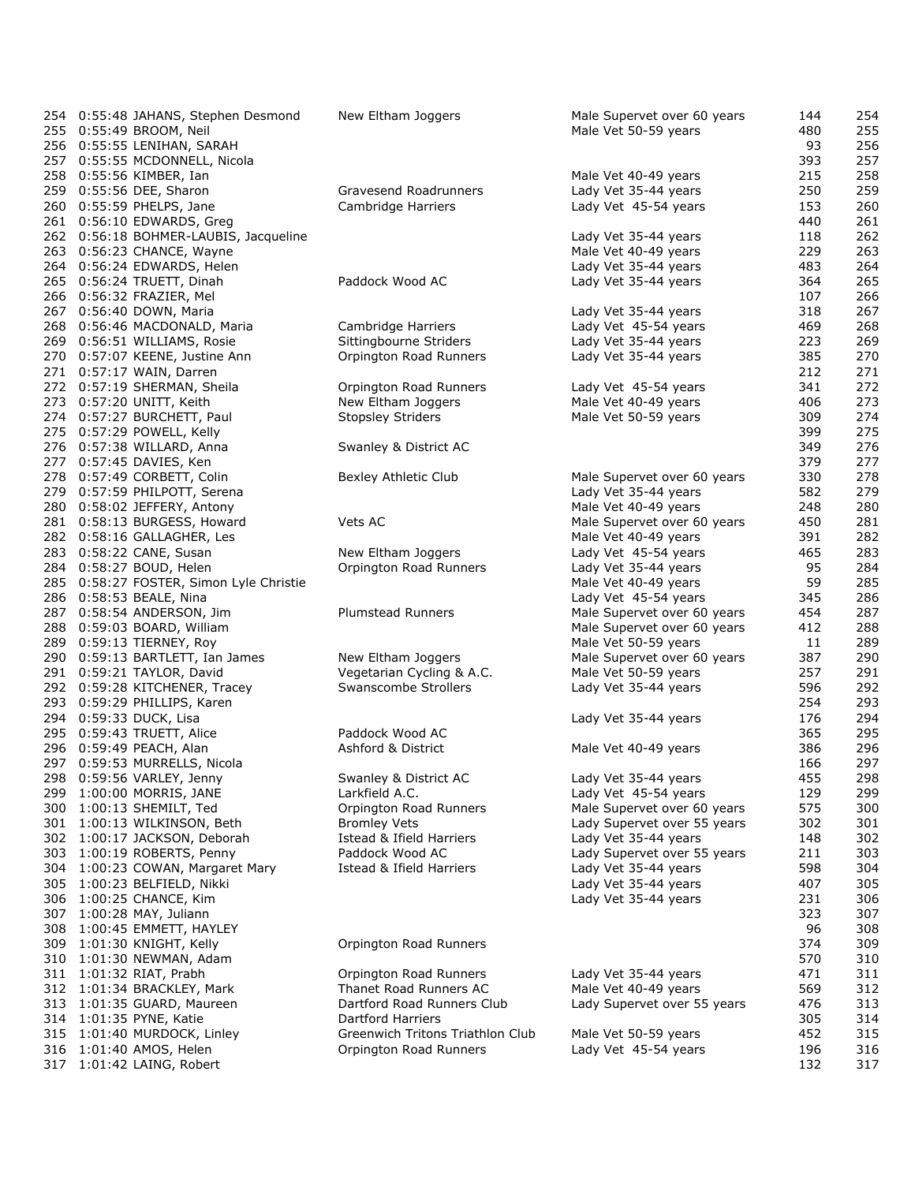| 254 0:55:48 JAHANS, Stephen Desmond                     | New Eltham Joggers                               | Male Supervet over 60 years                  | 144        | 254        |
|---------------------------------------------------------|--------------------------------------------------|----------------------------------------------|------------|------------|
| 255 0:55:49 BROOM, Neil                                 |                                                  | Male Vet 50-59 years                         | 480        | 255        |
| 256 0:55:55 LENIHAN, SARAH                              |                                                  |                                              | 93         | 256        |
| 257 0:55:55 MCDONNELL, Nicola                           |                                                  |                                              | 393        | 257        |
| 258 0:55:56 KIMBER, Ian                                 |                                                  | Male Vet 40-49 years                         | 215        | 258        |
| 259 0:55:56 DEE, Sharon                                 | Gravesend Roadrunners                            | Lady Vet 35-44 years                         | 250        | 259        |
| 260 0:55:59 PHELPS, Jane                                | Cambridge Harriers                               | Lady Vet 45-54 years                         | 153        | 260        |
| 261 0:56:10 EDWARDS, Greg                               |                                                  |                                              | 440        | 261        |
| 262 0:56:18 BOHMER-LAUBIS, Jacqueline                   |                                                  | Lady Vet 35-44 years                         | 118        | 262        |
| 263 0:56:23 CHANCE, Wayne                               |                                                  | Male Vet 40-49 years                         | 229        | 263        |
| 264 0:56:24 EDWARDS, Helen                              |                                                  | Lady Vet 35-44 years                         | 483        | 264        |
| 265 0:56:24 TRUETT, Dinah                               | Paddock Wood AC                                  | Lady Vet 35-44 years                         | 364        | 265        |
| 266 0:56:32 FRAZIER, Mel                                |                                                  |                                              | 107        | 266        |
| 267 0:56:40 DOWN, Maria<br>268 0:56:46 MACDONALD, Maria |                                                  | Lady Vet 35-44 years                         | 318<br>469 | 267<br>268 |
| 269 0:56:51 WILLIAMS, Rosie                             | Cambridge Harriers                               | Lady Vet 45-54 years<br>Lady Vet 35-44 years | 223        | 269        |
| 270 0:57:07 KEENE, Justine Ann                          | Sittingbourne Striders<br>Orpington Road Runners | Lady Vet 35-44 years                         | 385        | 270        |
| 271 0:57:17 WAIN, Darren                                |                                                  |                                              | 212        | 271        |
| 272 0:57:19 SHERMAN, Sheila                             | Orpington Road Runners                           | Lady Vet 45-54 years                         | 341        | 272        |
| 273 0:57:20 UNITT, Keith                                | New Eltham Joggers                               | Male Vet 40-49 years                         | 406        | 273        |
| 274 0:57:27 BURCHETT, Paul                              | <b>Stopsley Striders</b>                         | Male Vet 50-59 years                         | 309        | 274        |
| 275 0:57:29 POWELL, Kelly                               |                                                  |                                              | 399        | 275        |
| 276 0:57:38 WILLARD, Anna                               | Swanley & District AC                            |                                              | 349        | 276        |
| 277 0:57:45 DAVIES, Ken                                 |                                                  |                                              | 379        | 277        |
| 278 0:57:49 CORBETT, Colin                              | Bexley Athletic Club                             | Male Supervet over 60 years                  | 330        | 278        |
| 279 0:57:59 PHILPOTT, Serena                            |                                                  | Lady Vet 35-44 years                         | 582        | 279        |
| 280 0:58:02 JEFFERY, Antony                             |                                                  | Male Vet 40-49 years                         | 248        | 280        |
| 281 0:58:13 BURGESS, Howard                             | Vets AC                                          | Male Supervet over 60 years                  | 450        | 281        |
| 282 0:58:16 GALLAGHER, Les                              |                                                  | Male Vet 40-49 years                         | 391        | 282        |
| 283 0:58:22 CANE, Susan                                 | New Eltham Joggers                               | Lady Vet 45-54 years                         | 465        | 283        |
| 284 0:58:27 BOUD, Helen                                 | Orpington Road Runners                           | Lady Vet 35-44 years                         | 95         | 284        |
| 285 0:58:27 FOSTER, Simon Lyle Christie                 |                                                  | Male Vet 40-49 years                         | 59         | 285        |
| 286 0:58:53 BEALE, Nina                                 |                                                  | Lady Vet 45-54 years                         | 345        | 286        |
| 287 0:58:54 ANDERSON, Jim                               | <b>Plumstead Runners</b>                         | Male Supervet over 60 years                  | 454        | 287        |
| 288 0:59:03 BOARD, William                              |                                                  | Male Supervet over 60 years                  | 412        | 288        |
| 289 0:59:13 TIERNEY, Roy                                |                                                  | Male Vet 50-59 years                         | 11         | 289        |
| 290 0:59:13 BARTLETT, Ian James                         | New Eltham Joggers                               | Male Supervet over 60 years                  | 387        | 290        |
| 291 0:59:21 TAYLOR, David                               | Vegetarian Cycling & A.C.                        | Male Vet 50-59 years                         | 257        | 291        |
| 292 0:59:28 KITCHENER, Tracey                           | Swanscombe Strollers                             | Lady Vet 35-44 years                         | 596        | 292        |
| 293 0:59:29 PHILLIPS, Karen                             |                                                  |                                              | 254        | 293        |
| 294 0:59:33 DUCK, Lisa                                  |                                                  | Lady Vet 35-44 years                         | 176        | 294        |
| 295 0:59:43 TRUETT, Alice                               | Paddock Wood AC                                  |                                              | 365        | 295        |
| 296 0:59:49 PEACH, Alan                                 | Ashford & District                               | Male Vet 40-49 years                         | 386        | 296        |
| 297 0:59:53 MURRELLS, Nicola                            |                                                  |                                              | 166        | 297        |
| 298 0:59:56 VARLEY, Jenny                               | Swanley & District AC                            | Lady Vet 35-44 years                         | 455        | 298        |
| 299 1:00:00 MORRIS, JANE                                | Larkfield A.C.                                   | Lady Vet 45-54 years                         | 129        | 299        |
| 300 1:00:13 SHEMILT, Ted                                | Orpington Road Runners                           | Male Supervet over 60 years                  | 575        | 300        |
| 301 1:00:13 WILKINSON, Beth                             | <b>Bromley Vets</b>                              | Lady Supervet over 55 years                  | 302        | 301        |
| 302 1:00:17 JACKSON, Deborah                            | Istead & Ifield Harriers                         | Lady Vet 35-44 years                         | 148        | 302        |
| 303 1:00:19 ROBERTS, Penny                              | Paddock Wood AC<br>Istead & Ifield Harriers      | Lady Supervet over 55 years                  | 211        | 303        |
| 304 1:00:23 COWAN, Margaret Mary                        |                                                  | Lady Vet 35-44 years                         | 598        | 304<br>305 |
| 305 1:00:23 BELFIELD, Nikki<br>306 1:00:25 CHANCE, Kim  |                                                  | Lady Vet 35-44 years<br>Lady Vet 35-44 years | 407<br>231 | 306        |
| 307 1:00:28 MAY, Juliann                                |                                                  |                                              | 323        | 307        |
| 308 1:00:45 EMMETT, HAYLEY                              |                                                  |                                              | 96         | 308        |
| 309 1:01:30 KNIGHT, Kelly                               | Orpington Road Runners                           |                                              | 374        | 309        |
| 310 1:01:30 NEWMAN, Adam                                |                                                  |                                              | 570        | 310        |
| 311 1:01:32 RIAT, Prabh                                 | Orpington Road Runners                           | Lady Vet 35-44 years                         | 471        | 311        |
| 312 1:01:34 BRACKLEY, Mark                              | Thanet Road Runners AC                           | Male Vet 40-49 years                         | 569        | 312        |
| 313 1:01:35 GUARD, Maureen                              | Dartford Road Runners Club                       | Lady Supervet over 55 years                  | 476        | 313        |
| 314 1:01:35 PYNE, Katie                                 | <b>Dartford Harriers</b>                         |                                              | 305        | 314        |
| 315 1:01:40 MURDOCK, Linley                             | Greenwich Tritons Triathlon Club                 | Male Vet 50-59 years                         | 452        | 315        |
| 316 1:01:40 AMOS, Helen                                 | Orpington Road Runners                           | Lady Vet 45-54 years                         | 196        | 316        |
| 317 1:01:42 LAING, Robert                               |                                                  |                                              | 132        | 317        |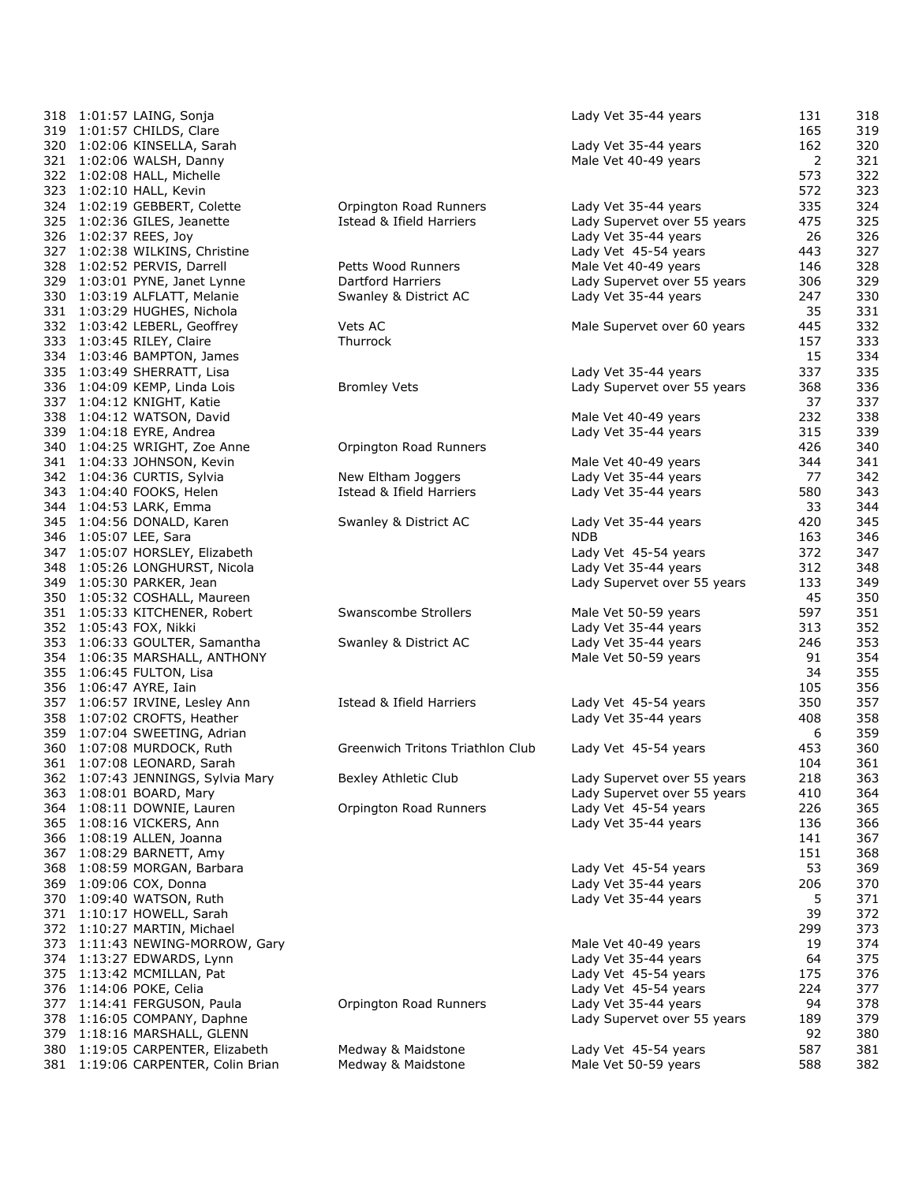| 318 1:01:57 LAING, Sonja           |                                     | Lady Vet 35-44 years        | 131 | 318 |
|------------------------------------|-------------------------------------|-----------------------------|-----|-----|
| 319 1:01:57 CHILDS, Clare          |                                     |                             | 165 | 319 |
| 320 1:02:06 KINSELLA, Sarah        |                                     | Lady Vet 35-44 years        | 162 | 320 |
| 321 1:02:06 WALSH, Danny           |                                     | Male Vet 40-49 years        | 2   | 321 |
| 322 1:02:08 HALL, Michelle         |                                     |                             | 573 | 322 |
| 323 1:02:10 HALL, Kevin            |                                     |                             | 572 | 323 |
| 324 1:02:19 GEBBERT, Colette       | Orpington Road Runners              | Lady Vet 35-44 years        | 335 | 324 |
| 325 1:02:36 GILES, Jeanette        | Istead & Ifield Harriers            | Lady Supervet over 55 years | 475 | 325 |
| 326 1:02:37 REES, Joy              |                                     | Lady Vet 35-44 years        | 26  | 326 |
| 327 1:02:38 WILKINS, Christine     |                                     | Lady Vet 45-54 years        | 443 | 327 |
| 328 1:02:52 PERVIS, Darrell        | Petts Wood Runners                  | Male Vet 40-49 years        | 146 | 328 |
| 329 1:03:01 PYNE, Janet Lynne      | <b>Dartford Harriers</b>            | Lady Supervet over 55 years | 306 | 329 |
| 330 1:03:19 ALFLATT, Melanie       | Swanley & District AC               | Lady Vet 35-44 years        | 247 | 330 |
| 331 1:03:29 HUGHES, Nichola        |                                     |                             | 35  | 331 |
| 332 1:03:42 LEBERL, Geoffrey       | Vets AC                             | Male Supervet over 60 years | 445 | 332 |
| 333 1:03:45 RILEY, Claire          | Thurrock                            |                             | 157 | 333 |
| 334 1:03:46 BAMPTON, James         |                                     |                             | 15  | 334 |
| 335 1:03:49 SHERRATT, Lisa         |                                     | Lady Vet 35-44 years        | 337 | 335 |
| 336 1:04:09 KEMP, Linda Lois       | <b>Bromley Vets</b>                 | Lady Supervet over 55 years | 368 | 336 |
| 337 1:04:12 KNIGHT, Katie          |                                     |                             | 37  | 337 |
| 338 1:04:12 WATSON, David          |                                     | Male Vet 40-49 years        | 232 | 338 |
| 339 1:04:18 EYRE, Andrea           |                                     | Lady Vet 35-44 years        | 315 | 339 |
| 340 1:04:25 WRIGHT, Zoe Anne       | Orpington Road Runners              |                             | 426 | 340 |
| 341 1:04:33 JOHNSON, Kevin         |                                     | Male Vet 40-49 years        | 344 | 341 |
| 342 1:04:36 CURTIS, Sylvia         | New Eltham Joggers                  | Lady Vet 35-44 years        | 77  | 342 |
| 343 1:04:40 FOOKS, Helen           | Istead & Ifield Harriers            | Lady Vet 35-44 years        | 580 | 343 |
| 344 1:04:53 LARK, Emma             |                                     |                             | 33  | 344 |
| 345 1:04:56 DONALD, Karen          | Swanley & District AC               | Lady Vet 35-44 years        | 420 | 345 |
| 346 1:05:07 LEE, Sara              |                                     | NDB                         | 163 | 346 |
| 347 1:05:07 HORSLEY, Elizabeth     |                                     | Lady Vet 45-54 years        | 372 | 347 |
| 348 1:05:26 LONGHURST, Nicola      |                                     | Lady Vet 35-44 years        | 312 | 348 |
| 349 1:05:30 PARKER, Jean           |                                     | Lady Supervet over 55 years | 133 | 349 |
| 350 1:05:32 COSHALL, Maureen       |                                     |                             | 45  | 350 |
| 351 1:05:33 KITCHENER, Robert      | Swanscombe Strollers                | Male Vet 50-59 years        | 597 | 351 |
| 352 1:05:43 FOX, Nikki             |                                     | Lady Vet 35-44 years        | 313 | 352 |
| 353 1:06:33 GOULTER, Samantha      | Swanley & District AC               | Lady Vet 35-44 years        | 246 | 353 |
|                                    |                                     |                             | 91  | 354 |
| 354 1:06:35 MARSHALL, ANTHONY      |                                     | Male Vet 50-59 years        | 34  | 355 |
| 355 1:06:45 FULTON, Lisa           |                                     |                             |     |     |
| 356 1:06:47 AYRE, Iain             |                                     |                             | 105 | 356 |
| 357 1:06:57 IRVINE, Lesley Ann     | <b>Istead &amp; Ifield Harriers</b> | Lady Vet 45-54 years        | 350 | 357 |
| 358 1:07:02 CROFTS, Heather        |                                     | Lady Vet 35-44 years        | 408 | 358 |
| 359 1:07:04 SWEETING, Adrian       |                                     |                             | 6   | 359 |
| 360 1:07:08 MURDOCK, Ruth          | Greenwich Tritons Triathlon Club    | Lady Vet 45-54 years        | 453 | 360 |
| 361 1:07:08 LEONARD, Sarah         |                                     |                             | 104 | 361 |
| 362 1:07:43 JENNINGS, Sylvia Mary  | Bexley Athletic Club                | Lady Supervet over 55 years | 218 | 363 |
| 363 1:08:01 BOARD, Mary            |                                     | Lady Supervet over 55 years | 410 | 364 |
| 364 1:08:11 DOWNIE, Lauren         | Orpington Road Runners              | Lady Vet 45-54 years        | 226 | 365 |
| 365 1:08:16 VICKERS, Ann           |                                     | Lady Vet 35-44 years        | 136 | 366 |
| 366 1:08:19 ALLEN, Joanna          |                                     |                             | 141 | 367 |
| 367 1:08:29 BARNETT, Amy           |                                     |                             | 151 | 368 |
| 368 1:08:59 MORGAN, Barbara        |                                     | Lady Vet 45-54 years        | 53  | 369 |
| 369 1:09:06 COX, Donna             |                                     | Lady Vet 35-44 years        | 206 | 370 |
| 370 1:09:40 WATSON, Ruth           |                                     | Lady Vet 35-44 years        | 5   | 371 |
| 371 1:10:17 HOWELL, Sarah          |                                     |                             | 39  | 372 |
| 372 1:10:27 MARTIN, Michael        |                                     |                             | 299 | 373 |
| 373 1:11:43 NEWING-MORROW, Gary    |                                     | Male Vet 40-49 years        | 19  | 374 |
| 374 1:13:27 EDWARDS, Lynn          |                                     | Lady Vet 35-44 years        | 64  | 375 |
| 375 1:13:42 MCMILLAN, Pat          |                                     | Lady Vet 45-54 years        | 175 | 376 |
| 376 1:14:06 POKE, Celia            |                                     | Lady Vet 45-54 years        | 224 | 377 |
| 377 1:14:41 FERGUSON, Paula        | Orpington Road Runners              | Lady Vet 35-44 years        | 94  | 378 |
| 378 1:16:05 COMPANY, Daphne        |                                     | Lady Supervet over 55 years | 189 | 379 |
| 379 1:18:16 MARSHALL, GLENN        |                                     |                             | 92  | 380 |
| 380 1:19:05 CARPENTER, Elizabeth   | Medway & Maidstone                  | Lady Vet 45-54 years        | 587 | 381 |
| 381 1:19:06 CARPENTER, Colin Brian | Medway & Maidstone                  | Male Vet 50-59 years        | 588 | 382 |
|                                    |                                     |                             |     |     |